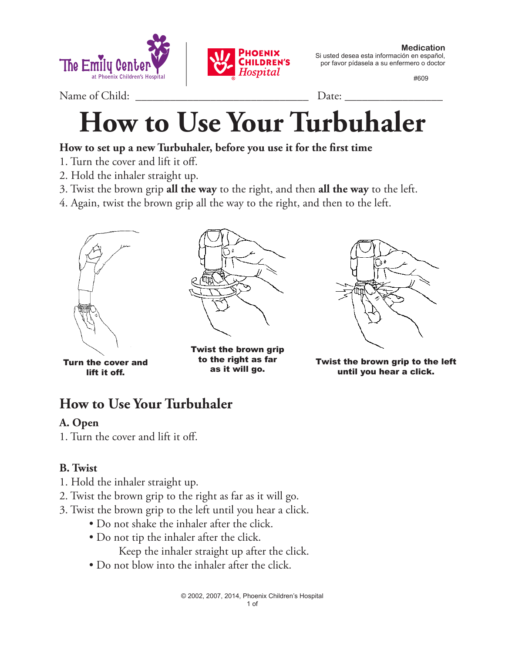

Name of Child: \_\_\_\_\_\_\_\_\_\_\_\_\_\_\_\_\_\_\_\_\_\_\_\_\_\_\_\_\_\_ Date: \_\_\_\_\_\_\_\_\_\_\_\_\_\_\_\_\_



**Medication**

Si usted desea esta información en español, por favor pídasela a su enfermero o doctor

#609

# **How to Use Your Turbuhaler**

### **How to set up a new Turbuhaler, before you use it for the first time**

- 1. Turn the cover and lift it off.
- 2. Hold the inhaler straight up.
- 3. Twist the brown grip **all the way** to the right, and then **all the way** to the left.
- 4. Again, twist the brown grip all the way to the right, and then to the left.



Turn the cover and lift it off.



Twist the brown grip to the right as far



the right as far Twist the brown grip to the left<br>as it will go. Twist the brown grip to the left until you hear a click.

## **How to Use Your Turbuhaler**

## **A. Open**

1. Turn the cover and lift it off.

## **B. Twist**

- 1. Hold the inhaler straight up.
- 2. Twist the brown grip to the right as far as it will go.
- 3. Twist the brown grip to the left until you hear a click.
	- Do not shake the inhaler after the click.
	- Do not tip the inhaler after the click. Keep the inhaler straight up after the click.
	- Do not blow into the inhaler after the click.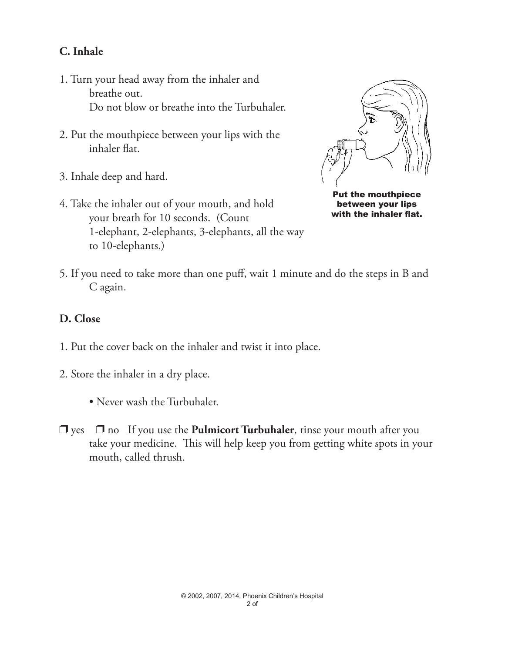## **C. Inhale**

- 1. Turn your head away from the inhaler and breathe out. Do not blow or breathe into the Turbuhaler.
- 2. Put the mouthpiece between your lips with the inhaler flat.
- 3. Inhale deep and hard.
- 4. Take the inhaler out of your mouth, and hold your breath for 10 seconds. (Count 1-elephant, 2-elephants, 3-elephants, all the way to 10-elephants.)



Put the mouthpiece between your lips with the inhaler flat.

5. If you need to take more than one puff, wait 1 minute and do the steps in B and C again.

#### **D. Close**

- 1. Put the cover back on the inhaler and twist it into place.
- 2. Store the inhaler in a dry place.
	- Never wash the Turbuhaler.
- **D** yes **D** no If you use the **Pulmicort Turbuhaler**, rinse your mouth after you take your medicine. This will help keep you from getting white spots in your mouth, called thrush.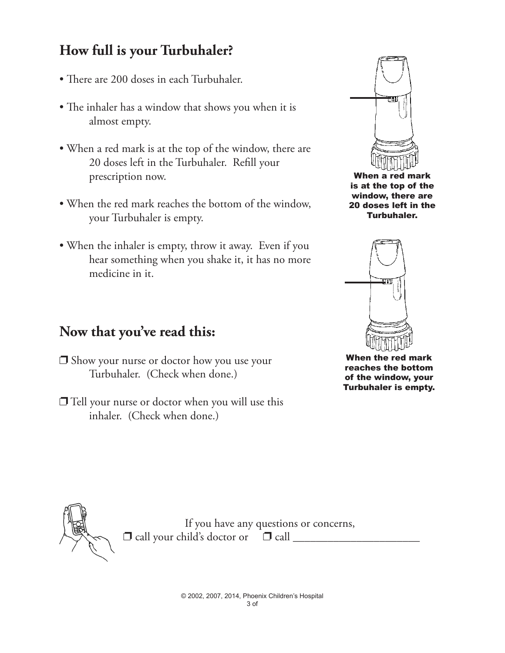## **How full is your Turbuhaler?**

- There are 200 doses in each Turbuhaler.
- The inhaler has a window that shows you when it is almost empty.
- When a red mark is at the top of the window, there are 20 doses left in the Turbuhaler. Refill your prescription now.
- When the red mark reaches the bottom of the window, your Turbuhaler is empty.
- When the inhaler is empty, throw it away. Even if you hear something when you shake it, it has no more medicine in it.

## **Now that you've read this:**

- $\Box$  Show your nurse or doctor how you use your Turbuhaler. (Check when done.)
- $\Box$  Tell your nurse or doctor when you will use this inhaler. (Check when done.)



When a red mark is at the top of the window, there are 20 doses left in the Turbuhaler.



When the red mark reaches the bottom of the window, your Turbuhaler is empty.



If you have any questions or concerns,  $\Box$  call your child's doctor or  $\Box$  call  $\Box$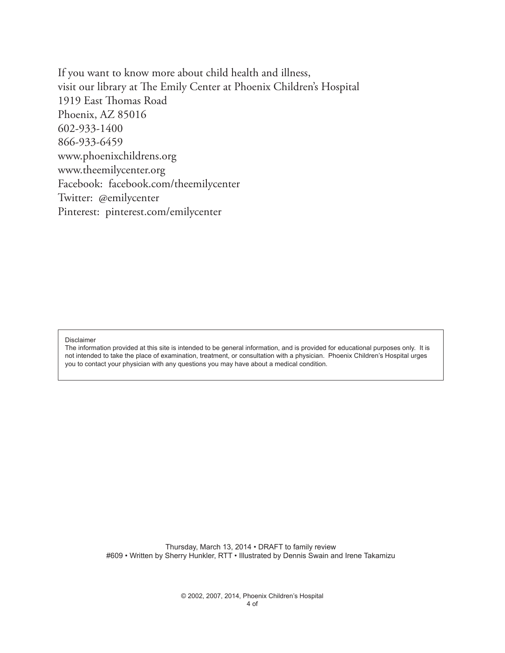If you want to know more about child health and illness, visit our library at The Emily Center at Phoenix Children's Hospital 1919 East Thomas Road Phoenix, AZ 85016 602-933-1400 866-933-6459 www.phoenixchildrens.org www.theemilycenter.org Facebook: facebook.com/theemilycenter Twitter: @emilycenter Pinterest: pinterest.com/emilycenter

#### Disclaimer

The information provided at this site is intended to be general information, and is provided for educational purposes only. It is not intended to take the place of examination, treatment, or consultation with a physician. Phoenix Children's Hospital urges you to contact your physician with any questions you may have about a medical condition.

> Thursday, March 13, 2014 • DRAFT to family review #609 • Written by Sherry Hunkler, RTT • Illustrated by Dennis Swain and Irene Takamizu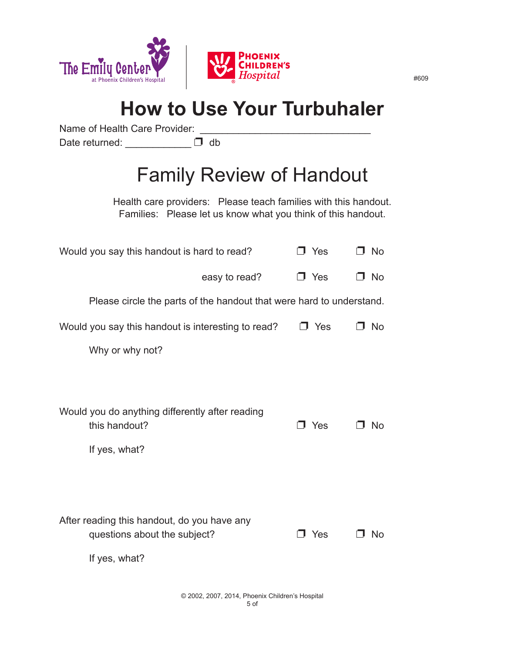

## **How to Use Your Turbuhaler**

Name of Health Care Provider:

Date returned: \_\_\_\_\_\_\_\_\_\_\_\_\_\_ D db

## Family Review of Handout

Health care providers: Please teach families with this handout. Families: Please let us know what you think of this handout.

| $\overline{\mathsf{J}}$ Yes                                          | O No      |
|----------------------------------------------------------------------|-----------|
| $\Box$ Yes                                                           | O No      |
| Please circle the parts of the handout that were hard to understand. |           |
| $\Box$ Yes                                                           | O No      |
|                                                                      |           |
|                                                                      |           |
| $\Box$ Yes                                                           | -No       |
| J Yes                                                                | <b>No</b> |
|                                                                      |           |